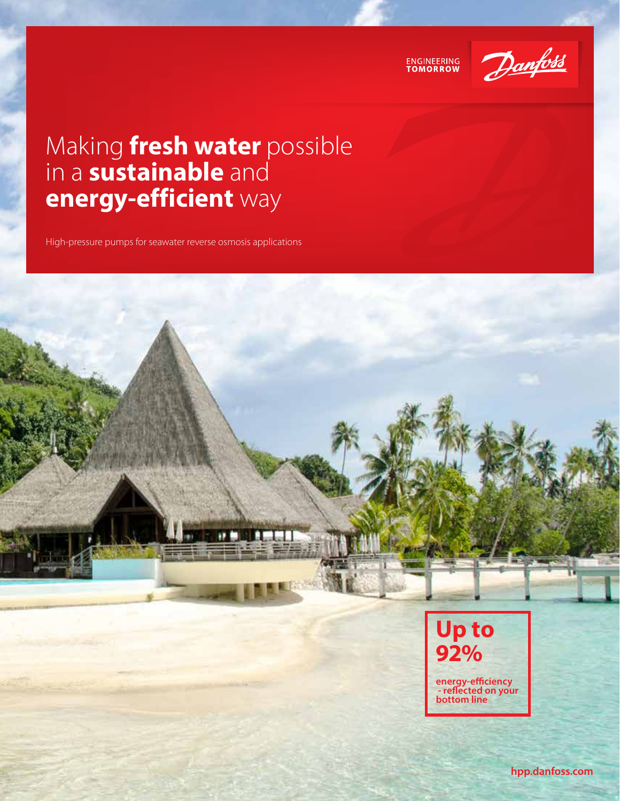



## Making **fresh water** possible in a **sustainable** and **energy-efficient** way

High-pressure pumps for seawater reverse osmosis applications



**hpp.danfoss.com**

**energy-efficiency - reflected on your bottom line**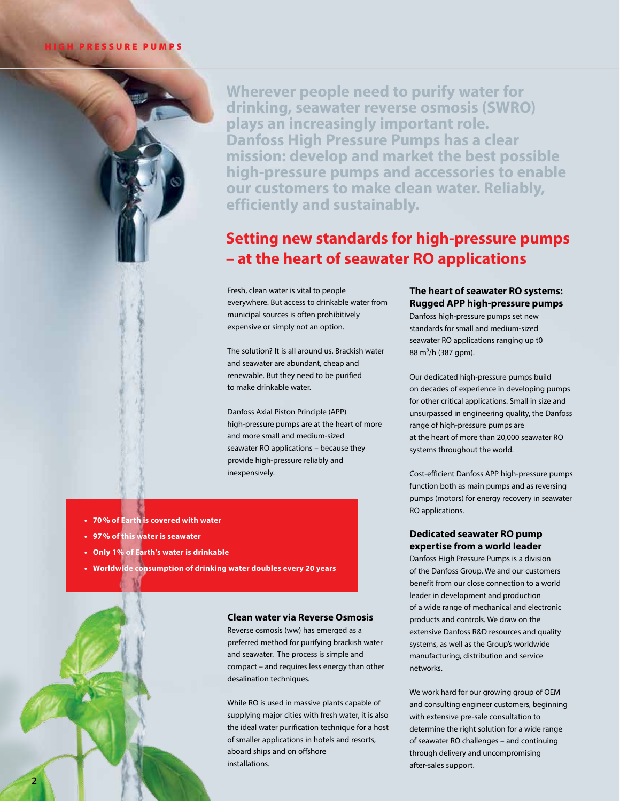#### **IGH PRESSURE PUMPS**

**Wherever people need to purify water for drinking, seawater reverse osmosis (SWRO) plays an increasingly important role. Danfoss High Pressure Pumps has a clear mission: develop and market the best possible high-pressure pumps and accessories to enable our customers to make clean water. Reliably, efficiently and sustainably.**

## **Setting new standards for high-pressure pumps – at the heart of seawater RO applications**

Fresh, clean water is vital to people everywhere. But access to drinkable water from municipal sources is often prohibitively expensive or simply not an option.

The solution? It is all around us. Brackish water and seawater are abundant, cheap and renewable. But they need to be purified to make drinkable water.

Danfoss Axial Piston Principle (APP) high-pressure pumps are at the heart of more and more small and medium-sized seawater RO applications – because they provide high-pressure reliably and inexpensively.

- **• 70% of Earth is covered with water**
- **• 97% of this water is seawater**
- **• Only 1% of Earth's water is drinkable**
- **• Worldwide consumption of drinking water doubles every 20 years**

#### **Clean water via Reverse Osmosis**

Reverse osmosis (ww) has emerged as a preferred method for purifying brackish water and seawater. The process is simple and compact – and requires less energy than other desalination techniques.

While RO is used in massive plants capable of supplying major cities with fresh water, it is also the ideal water purification technique for a host of smaller applications in hotels and resorts, aboard ships and on offshore installations.

#### **The heart of seawater RO systems: Rugged APP high-pressure pumps**

Danfoss high-pressure pumps set new standards for small and medium-sized seawater RO applications ranging up t0 88 m<sup>3</sup>/h (387 gpm).

Our dedicated high-pressure pumps build on decades of experience in developing pumps for other critical applications. Small in size and unsurpassed in engineering quality, the Danfoss range of high-pressure pumps are at the heart of more than 20,000 seawater RO systems throughout the world.

Cost-efficient Danfoss APP high-pressure pumps function both as main pumps and as reversing pumps (motors) for energy recovery in seawater RO applications.

#### **Dedicated seawater RO pump expertise from a world leader**

Danfoss High Pressure Pumps is a division of the Danfoss Group. We and our customers benefit from our close connection to a world leader in development and production of a wide range of mechanical and electronic products and controls. We draw on the extensive Danfoss R&D resources and quality systems, as well as the Group's worldwide manufacturing, distribution and service networks.

We work hard for our growing group of OEM and consulting engineer customers, beginning with extensive pre-sale consultation to determine the right solution for a wide range of seawater RO challenges – and continuing through delivery and uncompromising after-sales support.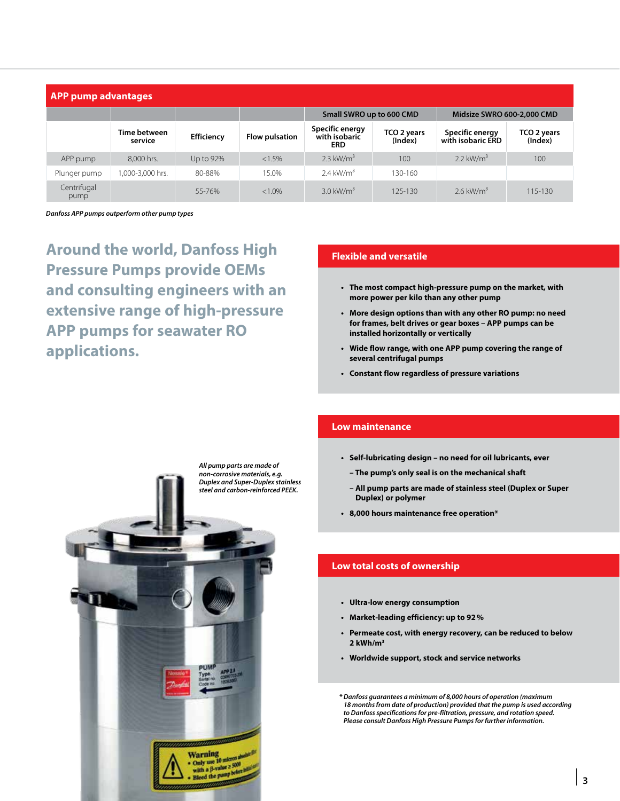| <b>APP pump advantages</b> |                         |            |                       |                                                |                        |                                      |                        |  |  |
|----------------------------|-------------------------|------------|-----------------------|------------------------------------------------|------------------------|--------------------------------------|------------------------|--|--|
|                            |                         |            |                       | Small SWRO up to 600 CMD                       |                        | Midsize SWRO 600-2,000 CMD           |                        |  |  |
|                            | Time between<br>service | Efficiency | <b>Flow pulsation</b> | Specific energy<br>with isobaric<br><b>ERD</b> | TCO 2 years<br>(Index) | Specific energy<br>with isobaric ERD | TCO 2 years<br>(Index) |  |  |
| APP pump                   | 8,000 hrs.              | Up to 92%  | $< 1.5\%$             | $2.3$ kW/m <sup>3</sup>                        | 100                    | 2.2 $kW/m^3$                         | 100                    |  |  |
| Plunger pump               | .000-3,000 hrs.         | 80-88%     | 15.0%                 | $2.4 \text{ kW/m}^3$                           | 130-160                |                                      |                        |  |  |
| Centrifugal<br>pump        |                         | 55-76%     | $< 1.0\%$             | $3.0 \text{ kW/m}^3$                           | 125-130                | 2.6 kW/ $m3$                         | 115-130                |  |  |

*Danfoss APP pumps outperform other pump types*

**Around the world, Danfoss High Pressure Pumps provide OEMs and consulting engineers with an extensive range of high-pressure APP pumps for seawater RO applications.**

#### **Flexible and versatile**

- **• The most compact high-pressure pump on the market, with more power per kilo than any other pump**
- **• More design options than with any other RO pump: no need for frames, belt drives or gear boxes – APP pumps can be installed horizontally or vertically**
- **• Wide flow range, with one APP pump covering the range of several centrifugal pumps**
- **• Constant flow regardless of pressure variations**



#### **Low maintenance**

- **• Self-lubricating design no need for oil lubricants, ever**
	- **The pump's only seal is on the mechanical shaft**
	- **All pump parts are made of stainless steel (Duplex or Super Duplex) or polymer**
- **• 8,000 hours maintenance free operation\***

#### **Low total costs of ownership**

- **• Ultra-low energy consumption**
- **• Market-leading efficiency: up to 92%**
- **• Permeate cost, with energy recovery, can be reduced to below 2 kWh/m3**
- **• Worldwide support, stock and service networks**

*\* Danfoss guarantees a minimum of 8,000 hours of operation (maximum 18 months from date of production) provided that the pump is used according to Danfoss specifications for pre-filtration, pressure, and rotation speed. Please consult Danfoss High Pressure Pumps for further information.*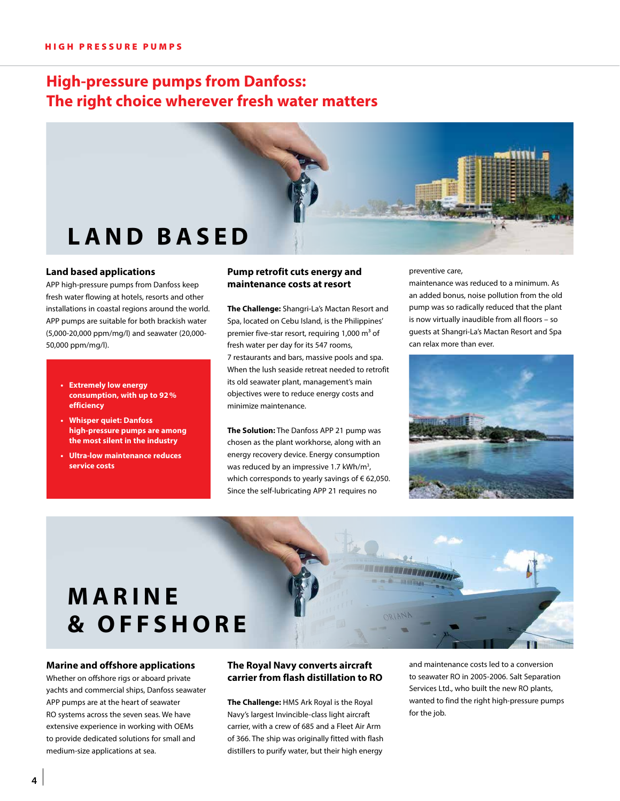## **High-pressure pumps from Danfoss: The right choice wherever fresh water matters**



#### **Land based applications**

APP high-pressure pumps from Danfoss keep fresh water flowing at hotels, resorts and other installations in coastal regions around the world. APP pumps are suitable for both brackish water (5,000-20,000 ppm/mg/l) and seawater (20,000- 50,000 ppm/mg/l).

- **• Extremely low energy consumption, with up to 92% efficiency**
- **• Whisper quiet: Danfoss high-pressure pumps are among the most silent in the industry**
- **• Ultra-low maintenance reduces service costs**

#### **Pump retrofit cuts energy and maintenance costs at resort**

**The Challenge:** Shangri-La's Mactan Resort and Spa, located on Cebu Island, is the Philippines' premier five-star resort, requiring 1,000  $m<sup>3</sup>$  of fresh water per day for its 547 rooms, 7 restaurants and bars, massive pools and spa. When the lush seaside retreat needed to retrofit its old seawater plant, management's main objectives were to reduce energy costs and minimize maintenance.

**The Solution:** The Danfoss APP 21 pump was chosen as the plant workhorse, along with an energy recovery device. Energy consumption was reduced by an impressive 1.7 kWh/m<sup>3</sup>, which corresponds to yearly savings of € 62,050. Since the self-lubricating APP 21 requires no

preventive care,

**STATISTICS** 

maintenance was reduced to a minimum. As an added bonus, noise pollution from the old pump was so radically reduced that the plant is now virtually inaudible from all floors – so guests at Shangri-La's Mactan Resort and Spa can relax more than ever.



# **MARINE & OFFSHORE**

#### **Marine and offshore applications**

Whether on offshore rigs or aboard private yachts and commercial ships, Danfoss seawater APP pumps are at the heart of seawater RO systems across the seven seas. We have extensive experience in working with OEMs to provide dedicated solutions for small and medium-size applications at sea.

#### **The Royal Navy converts aircraft carrier from flash distillation to RO**

**The Challenge:** HMS Ark Royal is the Royal Navy's largest Invincible-class light aircraft carrier, with a crew of 685 and a Fleet Air Arm of 366. The ship was originally fitted with flash distillers to purify water, but their high energy

and maintenance costs led to a conversion to seawater RO in 2005-2006. Salt Separation Services Ltd., who built the new RO plants, wanted to find the right high-pressure pumps for the job.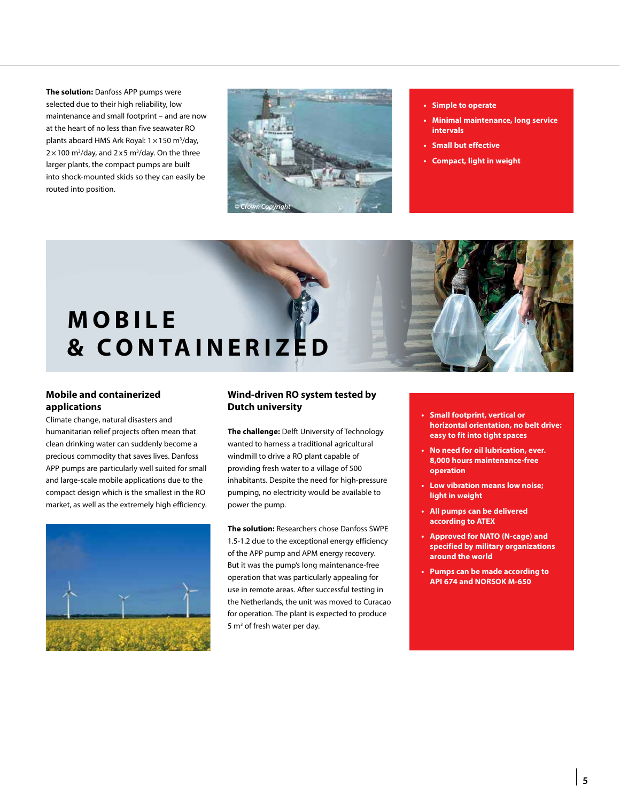**The solution:** Danfoss APP pumps were selected due to their high reliability, low maintenance and small footprint – and are now at the heart of no less than five seawater RO plants aboard HMS Ark Royal: 1 × 150 m<sup>3</sup>/day,  $2 \times 100$  m<sup>3</sup>/day, and  $2 \times 5$  m<sup>3</sup>/day. On the three larger plants, the compact pumps are built into shock-mounted skids so they can easily be routed into position.



- **• Simple to operate**
- **• Minimal maintenance, long service intervals**
- **• Small but effective**
- **• Compact, light in weight**

# **MOBILE & C O N TA I N E R I Z E D**

#### **Mobile and containerized applications**

Climate change, natural disasters and humanitarian relief projects often mean that clean drinking water can suddenly become a precious commodity that saves lives. Danfoss APP pumps are particularly well suited for small and large-scale mobile applications due to the compact design which is the smallest in the RO market, as well as the extremely high efficiency.



#### **Wind-driven RO system tested by Dutch university**

**The challenge:** Delft University of Technology wanted to harness a traditional agricultural windmill to drive a RO plant capable of providing fresh water to a village of 500 inhabitants. Despite the need for high-pressure pumping, no electricity would be available to power the pump.

**The solution:** Researchers chose Danfoss SWPE 1.5-1.2 due to the exceptional energy efficiency of the APP pump and APM energy recovery. But it was the pump's long maintenance-free operation that was particularly appealing for use in remote areas. After successful testing in the Netherlands, the unit was moved to Curacao for operation. The plant is expected to produce 5 m<sup>3</sup> of fresh water per day.

- **• Small footprint, vertical or horizontal orientation, no belt drive: easy to fit into tight spaces**
- **• No need for oil lubrication, ever. 8,000 hours maintenance-free operation**
- **• Low vibration means low noise; light in weight**
- **• All pumps can be delivered according to ATEX**
- **• Approved for NATO (N-cage) and specified by military organizations around the world**
- **• Pumps can be made according to API 674 and NORSOK M-650**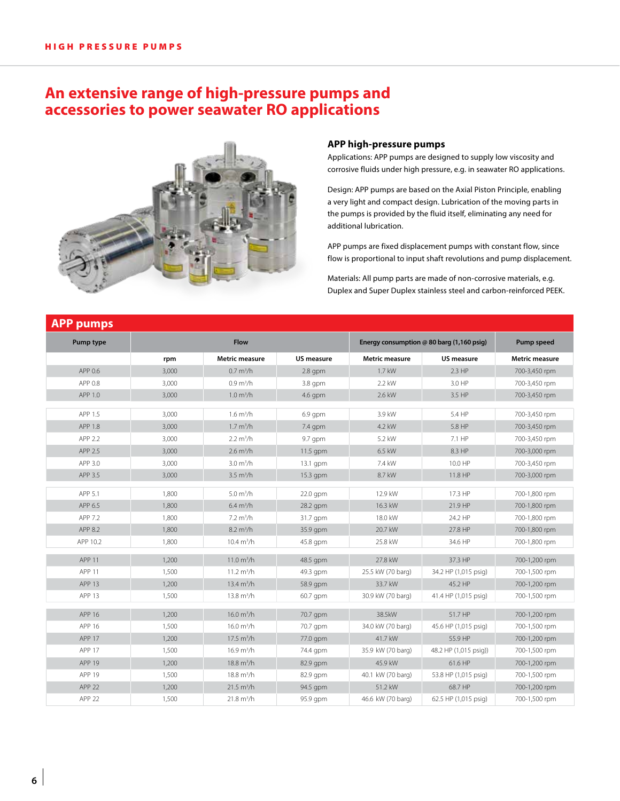### **An extensive range of high-pressure pumps and accessories to power seawater RO applications**



#### **APP high-pressure pumps**

Applications: APP pumps are designed to supply low viscosity and corrosive fluids under high pressure, e.g. in seawater RO applications.

Design: APP pumps are based on the Axial Piston Principle, enabling a very light and compact design. Lubrication of the moving parts in the pumps is provided by the fluid itself, eliminating any need for additional lubrication.

APP pumps are fixed displacement pumps with constant flow, since flow is proportional to input shaft revolutions and pump displacement.

Materials: All pump parts are made of non-corrosive materials, e.g. Duplex and Super Duplex stainless steel and carbon-reinforced PEEK.

| <b>APP pumps</b>  |       |                        |            |                                             |                       |                       |
|-------------------|-------|------------------------|------------|---------------------------------------------|-----------------------|-----------------------|
| Pump type         | Flow  |                        |            | Energy consumption $@$ 80 barg (1,160 psig) | Pump speed            |                       |
|                   | rpm   | <b>Metric measure</b>  | US measure | Metric measure                              | <b>US measure</b>     | <b>Metric measure</b> |
| APP 0.6           | 3,000 | $0.7 \text{ m}^3/h$    | $2.8$ gpm  | 1.7 kW                                      | $2.3$ HP              | 700-3,450 rpm         |
| APP 0.8           | 3,000 | $0.9 \text{ m}^3/h$    | $3.8$ qpm  | 2.2 kW                                      | 3.0 HP                | 700-3,450 rpm         |
| APP 1.0           | 3,000 | 1.0 m <sup>3</sup> /h  | $4.6$ qpm  | 2.6 kW                                      | 3.5 HP                | 700-3,450 rpm         |
| APP 1.5           | 3,000 | $1.6 \text{ m}^3/h$    | $6.9$ apm  | 3.9 kW                                      | 5.4 HP                | 700-3,450 rpm         |
| APP 1.8           | 3,000 | 1.7 m <sup>3</sup> /h  | $7.4$ qpm  | 4.2 kW                                      | 5.8 HP                | 700-3,450 rpm         |
| APP 2.2           | 3,000 | 2.2 m <sup>3</sup> /h  | 9.7 qpm    | 5.2 kW                                      | 7.1 HP                | 700-3,450 rpm         |
| APP 2.5           | 3,000 | $2.6 \text{ m}^3/h$    | 11.5 gpm   | 6.5 kW                                      | 8.3 HP                | 700-3,000 rpm         |
| APP 3.0           | 3,000 | 3.0 m <sup>3</sup> /h  | 13.1 gpm   | 7.4 kW                                      | 10.0 HP               | 700-3,450 rpm         |
| APP 3.5           | 3,000 | $3.5 \text{ m}^3/h$    | $15.3$ gpm | 8.7 kW                                      | 11.8 HP               | 700-3,000 rpm         |
| APP 5.1           | 1.800 | 5.0 m <sup>3</sup> /h  | 22.0 qpm   | 12.9 kW                                     | 17.3 HP               | 700-1,800 rpm         |
| APP 6.5           | 1,800 | 6.4 m <sup>3</sup> /h  | 28.2 gpm   | 16.3 kW                                     | 21.9 HP               | 700-1,800 rpm         |
| APP 7.2           | 1,800 | $7.2 \text{ m}^3/h$    | 31.7 gpm   | 18.0 kW                                     | 24.2 HP               | 700-1,800 rpm         |
| APP 8.2           | 1,800 | $8.2 \text{ m}^3/h$    | 35.9 gpm   | 20.7 kW                                     | 27.8 HP               | 700-1,800 rpm         |
| APP 10.2          | 1,800 | $10.4 \text{ m}^3/h$   | 45.8 gpm   | 25.8 kW                                     | 34.6 HP               | 700-1,800 rpm         |
| APP <sub>11</sub> | 1,200 | $11.0 \text{ m}^3/h$   | 48.5 gpm   | 27.8 kW                                     | 37.3 HP               | 700-1,200 rpm         |
| APP 11            | 1,500 | 11.2 $m^3/h$           | 49.3 gpm   | 25.5 kW (70 barg)                           | 34.2 HP (1,015 psig)  | 700-1,500 rpm         |
| APP <sub>13</sub> | 1,200 | 13.4 $m^3/h$           | 58.9 qpm   | 33.7 kW                                     | 45.2 HP               | 700-1,200 rpm         |
| APP <sub>13</sub> | 1,500 | 13.8 $m^3/h$           | 60.7 gpm   | 30.9 kW (70 barg)                           | 41.4 HP (1,015 psig)  | 700-1,500 rpm         |
| APP 16            | 1,200 | 16.0 $m^3/h$           | 70.7 gpm   | 38.5kW                                      | 51.7 HP               | 700-1,200 rpm         |
| APP 16            | 1,500 | 16.0 m <sup>3</sup> /h | 70.7 gpm   | 34.0 kW (70 barg)                           | 45.6 HP (1,015 psig)  | 700-1,500 rpm         |
| APP 17            | 1,200 | $17.5 \text{ m}^3/h$   | 77.0 gpm   | 41.7 kW                                     | 55.9 HP               | 700-1,200 rpm         |
| APP 17            | 1,500 | $16.9 \text{ m}^3/h$   | 74.4 gpm   | 35.9 kW (70 barg)                           | 48.2 HP (1,015 psig)) | 700-1,500 rpm         |
| APP 19            | 1,200 | $18.8 \text{ m}^3/h$   | 82.9 gpm   | 45.9 kW                                     | 61.6 HP               | 700-1,200 rpm         |
| APP 19            | 1,500 | $18.8 \text{ m}^3/h$   | 82.9 qpm   | 40.1 kW (70 barg)                           | 53.8 HP (1,015 psig)  | 700-1,500 rpm         |
| APP <sub>22</sub> | 1,200 | $21.5 \text{ m}^3/h$   | 94.5 gpm   | 51.2 kW                                     | 68.7 HP               | 700-1,200 rpm         |
| APP <sub>22</sub> | 1,500 | $21.8 \text{ m}^3/h$   | 95.9 gpm   | 46.6 kW (70 barg)                           | 62.5 HP (1,015 psig)  | 700-1,500 rpm         |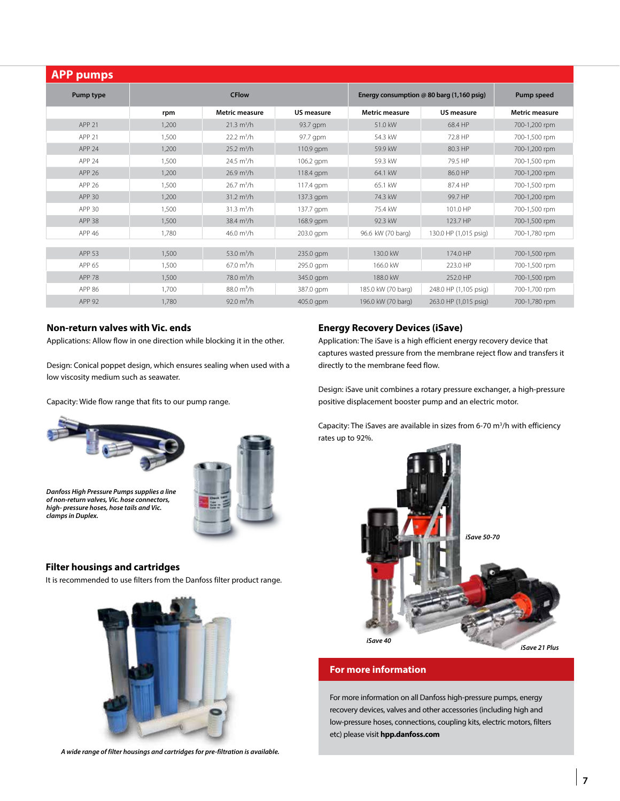| <b>APP pumps</b>  |              |                             |             |                                           |                       |                       |  |  |
|-------------------|--------------|-----------------------------|-------------|-------------------------------------------|-----------------------|-----------------------|--|--|
| Pump type         | <b>CFlow</b> |                             |             | Energy consumption @ 80 barg (1,160 psig) | Pump speed            |                       |  |  |
|                   | rpm          | <b>Metric measure</b>       | US measure  | <b>Metric measure</b>                     | US measure            | <b>Metric measure</b> |  |  |
| APP <sub>21</sub> | 1,200        | $21.3 \text{ m}^3/h$        | 93.7 gpm    | 51.0 kW                                   | 68.4 HP               | 700-1,200 rpm         |  |  |
| APP <sub>21</sub> | 1,500        | $22.2 \text{ m}^3/\text{h}$ | 97.7 gpm    | 54.3 kW                                   | 72.8 HP               | 700-1,500 rpm         |  |  |
| APP <sub>24</sub> | 1,200        | $25.2 \text{ m}^3/h$        | $110.9$ gpm | 59.9 kW                                   | 80.3 HP               | 700-1,200 rpm         |  |  |
| APP <sub>24</sub> | 1,500        | $24.5 \text{ m}^3/h$        | 106.2 gpm   | 59.3 kW                                   | 79.5 HP               | 700-1,500 rpm         |  |  |
| APP 26            | 1.200        | $26.9 \text{ m}^3/h$        | 118.4 gpm   | 64.1 kW                                   | 86.0 HP               | 700-1,200 rpm         |  |  |
| APP 26            | 1.500        | $26.7 \text{ m}^3/h$        | 117.4 gpm   | 65.1 kW                                   | 87.4 HP               | 700-1,500 rpm         |  |  |
| APP 30            | 1,200        | $31.2 \text{ m}^3/h$        | 137.3 gpm   | 74.3 kW                                   | 99.7 HP               | 700-1,200 rpm         |  |  |
| APP 30            | 1,500        | $31.3 \text{ m}^3/h$        | 137.7 gpm   | 75.4 kW                                   | 101.0 HP              | 700-1,500 rpm         |  |  |
| <b>APP 38</b>     | 1,500        | $38.4 \text{ m}^3/h$        | 168.9 gpm   | 92.3 kW                                   | 123.7 HP              | 700-1,500 rpm         |  |  |
| APP 46            | 1,780        | 46.0 $m^3/h$                | 203.0 gpm   | 96.6 kW (70 barg)                         | 130.0 HP (1,015 psig) | 700-1,780 rpm         |  |  |
|                   |              |                             |             |                                           |                       |                       |  |  |
| APP 53            | 1,500        | 53.0 $m^3/h$                | 235.0 gpm   | 130.0 kW                                  | 174.0 HP              | 700-1,500 rpm         |  |  |
| APP 65            | 1.500        | $67.0 \text{ m}^3/h$        | 295.0 gpm   | 166.0 kW                                  | 223.0 HP              | 700-1,500 rpm         |  |  |
| <b>APP 78</b>     | 1,500        | 78.0 m <sup>3</sup> /h      | 345.0 gpm   | 188.0 kW                                  | 252.0 HP              | 700-1,500 rpm         |  |  |
| APP 86            | 1.700        | $88.0 \text{ m}^3/h$        | 387.0 gpm   | 185.0 kW (70 barg)                        | 248.0 HP (1,105 psig) | 700-1,700 rpm         |  |  |
| APP 92            | 1.780        | 92.0 $m^3/h$                | 405.0 gpm   | 196.0 kW (70 barg)                        | 263.0 HP (1,015 psig) | 700-1,780 rpm         |  |  |

#### **Non-return valves with Vic. ends**

Applications: Allow flow in one direction while blocking it in the other.

Design: Conical poppet design, which ensures sealing when used with a low viscosity medium such as seawater.

Capacity: Wide flow range that fits to our pump range.





*Danfoss High Pressure Pumps supplies a line of non-return valves, Vic. hose connectors, high- pressure hoses, hose tails and Vic. clamps in Duplex.*

#### **Filter housings and cartridges**

It is recommended to use filters from the Danfoss filter product range.



*A wide range of filter housings and cartridges for pre-filtration is available.*

#### **Energy Recovery Devices (iSave)**

Application: The iSave is a high efficient energy recovery device that captures wasted pressure from the membrane reject flow and transfers it directly to the membrane feed flow.

Design: iSave unit combines a rotary pressure exchanger, a high-pressure positive displacement booster pump and an electric motor.

Capacity: The iSaves are available in sizes from 6-70  $m^3/h$  with efficiency rates up to 92%.



#### **For more information**

For more information on all Danfoss high-pressure pumps, energy recovery devices, valves and other accessories (including high and low-pressure hoses, connections, coupling kits, electric motors, filters etc) please visit **hpp.danfoss.com**